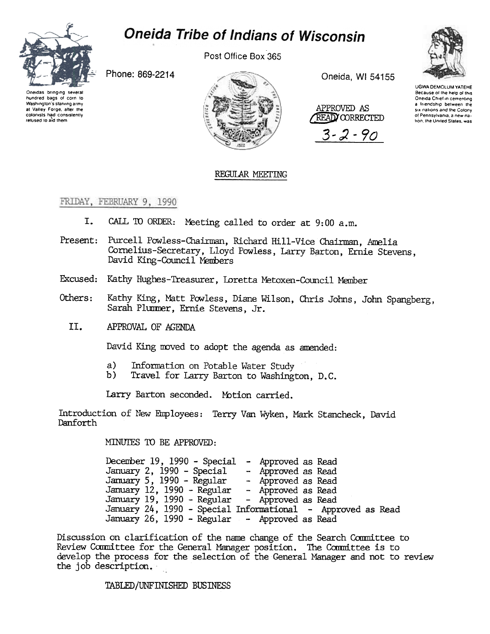

# **Oneida Tribe of Indians of Wisconsin**

Post Office Box 365

Phone: 869-2214

Oneidas brinoing several hundred bags of corn to Washington's starving army at Valley Forge, after the colonists had consistently refused to aid them



Oneida, WI 54155

APPROVED AS READ CORRECTED  $3 - 2 - 90$ 



**UGWA DEMOLUM YATEHE** Because of the help of this Oneida Chief in cementing a friendship between the six nations and the Colony of Pennsylvania, a new nation, the United States, was

# REGULAR MEETING

FRIDAY, FEBRUARY 9, 1990

- I. CALL TO ORDER: Meeting called to order at 9:00 a.m.
- Present: Purcell Powless-Chairman, Richard Hill-Vice Chairman, Amelia Cornelius-Secretary, Lloyd Powless, Larry Barton, Ernie Stevens. David King-Council Members
- Excused: Kathy Hughes-Treasurer, Loretta Metoxen-Council Member
- Kathy King, Matt Powless, Diane Wilson, Chris Johns, John Spangberg, Others: Sarah Plummer, Ernie Stevens, Jr.
	- II. APPROVAL OF AGENDA

David King moved to adopt the agenda as amended:

- $a)$ Information on Potable Water Study
- b) Travel for Larry Barton to Washington, D.C.

Larry Barton seconded. Motion carried.

Introduction of New Employees: Terry Van Wyken, Mark Stancheck, David Danforth

MINUTES TO BE APPROVED:

December 19, 1990 - Special - Approved as Read January 2, 1990 - Special - Approved as Read January 5, 1990 - Regular - Approved as Read January 12, 1990 - Regular - Approved as Read January 19, 1990 - Regular - Approved as Read January 24, 1990 - Special Informational - Approved as Read January 26, 1990 - Regular - Approved as Read

Discussion on clarification of the name change of the Search Committee to Review Committee for the General Manager position. The Committee is to develop the process for the selection of the General Manager and not to review the job description.

TABLED/UNFINISHED BUSINESS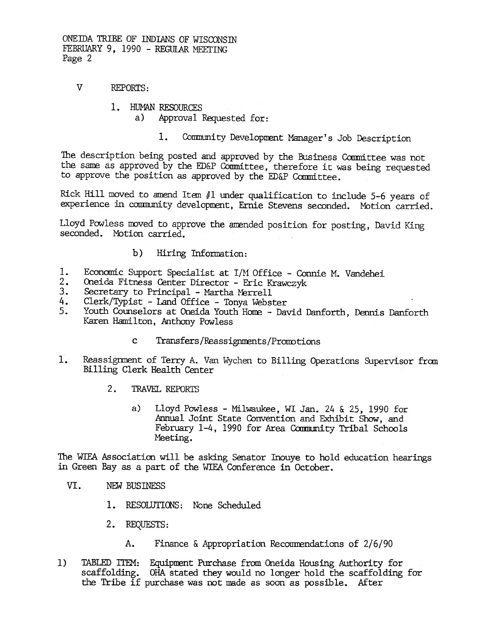ONEIDA TRIBE OF INDIANS OF WISCONSTN FEBRUARY 9, 1990 - REGULAR MEETING Page 2

- $\overline{V}$ **REPORTS:** 
	- 1. HUMAN RESOURCES
		- Approval Requested for: a)
			- $1.$ Community Development Manager's Job Description

The description being posted and approved by the Business Committee was not the same as approved by the ED&P Committee, therefore it was being requested to approve the position as approved by the ED&P Committee.

Rick Hill moved to amend Item #1 under qualification to include 5-6 years of experience in community development, Ernie Stevens seconded. Motion carried.

Lloyd Powless moved to approve the amended position for posting, David King seconded. Motion carried.

#### $b)$ Hiring Information:

- $1.$ Economic Support Specialist at I/M Office - Connie M. Vandehei
- Oneida Fitness Center Director Eric Krawczyk  $2.$
- $3.$ Secretary to Principal - Martha Merrell
- Clerk/Typist Land Office Tonya Webster 4.
- $5.$ Youth Counselors at Oneida Youth Home - David Danforth, Dennis Danforth Karen Hamilton, Anthony Powless
	- Transfers/Reassignments/Promotions  $\mathbf{c}$
- $1.$ Reassignment of Terry A. Van Wychen to Billing Operations Supervisor from Billing Clerk Health Center
	- $2.$ TRAVEL REPORTS
		- Lloyd Powless Milwaukee, WI Jan. 24 & 25, 1990 for  $a)$ Annual Joint State Convention and Exhibit Show, and February 1-4, 1990 for Area Community Tribal Schools Meeting.

The WIEA Association will be asking Senator Inouye to hold education hearings in Green Bay as a part of the WIEA Conference in October.

- VI. NEW BUSINESS
	- 1. RESOLUTIONS: None Scheduled
	- 2. REQUESTS:
		- Finance & Appropriation Recommendations of  $2/6/90$  $A_{\bullet}$
- $1)$ TABLED ITEM: Equipment Purchase from Oneida Housing Authority for scaffolding. OHA stated they would no longer hold the scaffolding for the Tribe if purchase was not made as soon as possible. After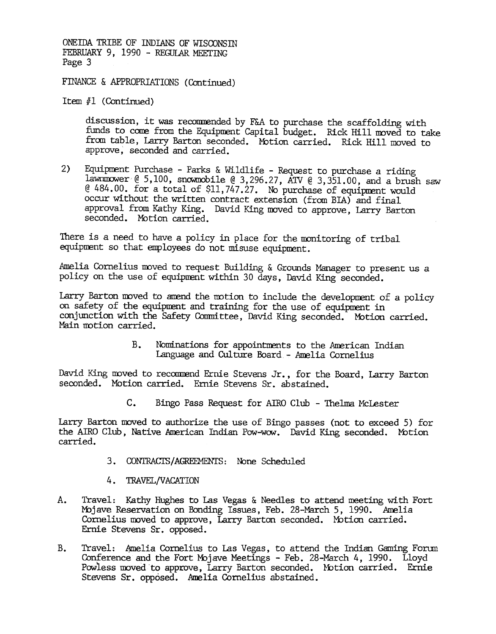ONEIDA TRIBE OF INDIANS OF WISCONSTN FEBRUARY 9, 1990 - REGULAR MEETING Page 3

FINANCE & APPROPRIATIONS (Continued)

Item  $#1$  (Continued)

discussion, it was reconuended by F&A to purchase the scaffolding with funds to come from the Equipment Capital budget. Rick Hill moved to take from table, Larry Barton seconded. Motion carried. Rick Hill moved to approve, seconded and carried.

2) Equipment Purchase - Parks & Wildlife - Request to purchase a riding lawnmower @ 5,100, snowmobile @ 3,296.27, ATV @ 3,351.00, and a brush saw  $@ 484.00.$  for a total of \$11,747.27. No purchase of equipment would occur without the written contract extension (from BIA) and final approval from Kathy King. David King moved to approve, Larry Barton seconded. Motion carried.

There is a need to have a policy in place for the monitoring of tribal equipment so that employees do not misuse equipment.

Amelia Cornelius moved to request Building & Grounds Manager to present us a policy on the use of equipnent within 30 days, David King seconded.

Larry Barton moved to amend the motion to include the development of a policy on safety of the equipment and training for the use of equipment in conjunction with the Safety Committee, David King seconded. Motion carried. Main notion carried.

> $B_{-}$ Nominations for appointnents to the Anerican Indian Language and Culture Board - Amelia Cornelius

David King moved to recommend Ernie Stevens Jr., for the Board, Larry Barton seconded. Motion carried. Ernie Stevens Sr. abstained.

c. Bingo Pass Request for AIRO Club -Thelma Mclester

Larry Barton moved to authorize the use of Bingo passes (not to exceed 5) for the AIRO Club, Native American Indian Pow-wow. David King seconded. Motion carried.

- 3. CONTRACTS/AGREEMENTS: None Scheduled
- 4. TRAVEL/VACATION
- A. Travel: Kathy Hughes to Las Vegas & Needles to attend meeting with Fort Mbjave Reservation on Bonding Issues, Feb. 28-Mardh 5, 1990. Amelia Cornelius moved to approve, Larry Barton seconded. Motion carried. Ernie Stevens Sr. opposed.
- B. Travel: Amelia Cornelius to Las Vegas, to attend the Indian Gaming Forum Conference and the Fort Mojave Meetings - Feb. 28-March 4, 1990. Lloyd Powless moved to approve, Larry Barton seconded. Motion carried. Ernie Stevens Sr. opposed. Amelia Cornelius abstained.